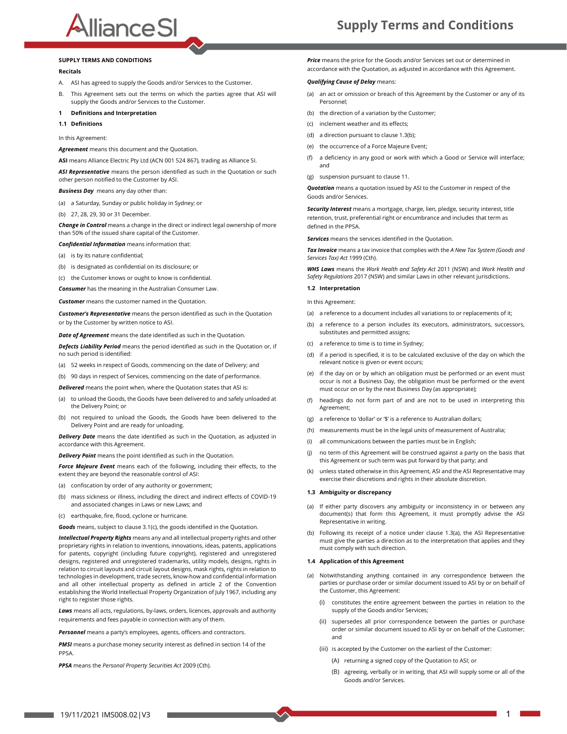# AllianceSI

#### SUPPLY TERMS AND CONDITIONS

#### Recitals

- A. ASI has agreed to supply the Goods and/or Services to the Customer. **Qualifying Cause of Delay** means:
- B. This Agreement sets out the terms on which the parties agree that ASI will supply the Goods and/or Services to the Customer.

# <sup>1</sup> Definitions and Interpretation 1.1 Definitions

In this Agreement:

Agreement means this document and the Quotation.

ASI means Alliance Electric Pty Ltd (ACN 001 524 867), trading as Alliance SI.

ASI Representative means the person identified as such in the Quotation or such other person notified to the Customer by ASI.

**Business Day** means any day other than:

- (a) a Saturday, Sunday or public holiday in Sydney; or
- (b) 27, 28, 29, 30 or 31 December.

Change in Control means a change in the direct or indirect legal ownership of more than 50% of the issued share capital of the Customer.

- Confidential Information means information that:
- (a) is by its nature confidential;
- (b) is designated as confidential on its disclosure; or
- (c) the Customer knows or ought to know is confidential.

Consumer has the meaning in the Australian Consumer Law.

**Customer** means the customer named in the Ouotation.

**Customer's Representative** means the person identified as such in the Quotation or by the Customer by written notice to ASI.

**Date of Agreement** means the date identified as such in the Quotation.

Defects Liability Period means the period identified as such in the Quotation or, if no such period is identified:

- (a) 52 weeks in respect of Goods, commencing on the date of Delivery; and
- (b) 90 days in respect of Services, commencing on the date of performance.

Delivered means the point when, where the Quotation states that ASI is:

- (a) to unload the Goods, the Goods have been delivered to and safely unloaded at (f) the Delivery Point; or
- (b) not required to unload the Goods, the Goods have been delivered to the  $(q)$ Delivery Point and are ready for unloading.

**Delivery Date** means the date identified as such in the Quotation, as adjusted in  $\frac{1}{1}$ accordance with this Agreement.

**Delivery Point** means the point identified as such in the Quotation. **Delivery Point** means the point identified as such in the Quotation.

**Force Majeure Event** means each of the following, including their effects, to the (k) extent they are beyond the reasonable control of ASI:

- (a) confiscation by order of any authority or government;
- (b) mass sickness or illness, including the direct and indirect effects of COVID-19 and associated changes in Laws or new Laws; and
- (c) earthquake, fire, flood, cyclone or hurricane.

Goods means, subject to clause 3.1(c), the goods identified in the Quotation.

Intellectual Property Rights means any and all intellectual property rights and other proprietary rights in relation to inventions, innovations, ideas, patents, applications for patents, copyright (including future copyright), registered and unregistered designs, registered and unregistered trademarks, utility models, designs, rights in relation to circuit layouts and circuit layout designs, mask rights, rights in relation to technologies in development, trade secrets, know-how and confidential information and all other intellectual property as defined in article 2 of the Convention establishing the World Intellectual Property Organization of July 1967, including any right to register those rights.

Laws means all acts, regulations, by-laws, orders, licences, approvals and authority requirements and fees payable in connection with any of them.

Personnel means a party's employees, agents, officers and contractors.

PMSI means a purchase money security interest as defined in section 14 of the PPSA.

PPSA means the Personal Property Securities Act 2009 (Cth).

Price means the price for the Goods and/or Services set out or determined in accordance with the Quotation, as adjusted in accordance with this Agreement.

- an act or omission or breach of this Agreement by the Customer or any of its Personnel;
- (b) the direction of a variation by the Customer;
- (c) inclement weather and its effects;
- (d) a direction pursuant to clause 1.3(b);
- (e) the occurrence of a Force Majeure Event;
- a deficiency in any good or work with which a Good or Service will interface; and
- (g) suspension pursuant to clause 11.

Quotation means a quotation issued by ASI to the Customer in respect of the Goods and/or Services.

Security Interest means a mortgage, charge, lien, pledge, security interest, title retention, trust, preferential right or encumbrance and includes that term as defined in the PPSA.

Services means the services identified in the Quotation.

Tax Invoice means a tax invoice that complies with the A New Tax System (Goods and Services Tax) Act 1999 (Cth).

WHS Laws means the Work Health and Safety Act 2011 (NSW) and Work Health and Safety Regulations 2017 (NSW) and similar Laws in other relevant jurisdictions.

#### 1.2 Interpretation

In this Agreement:

- (a) a reference to a document includes all variations to or replacements of it;
- (b) a reference to a person includes its executors, administrators, successors, substitutes and permitted assigns;
- (c) a reference to time is to time in Sydney;
- (d) if a period is specified, it is to be calculated exclusive of the day on which the relevant notice is given or event occurs;
- (e) if the day on or by which an obligation must be performed or an event must occur is not a Business Day, the obligation must be performed or the event must occur on or by the next Business Day (as appropriate);
- headings do not form part of and are not to be used in interpreting this Agreement;
- a reference to 'dollar' or '\$' is a reference to Australian dollars;
- (h) measurements must be in the legal units of measurement of Australia;
- all communications between the parties must be in English:
- no term of this Agreement will be construed against a party on the basis that this Agreement or such term was put forward by that party; and
- unless stated otherwise in this Agreement, ASI and the ASI Representative may exercise their discretions and rights in their absolute discretion.

#### 1.3 Ambiguity or discrepancy

- (a) If either party discovers any ambiguity or inconsistency in or between any document(s) that form this Agreement, it must promptly advise the ASI Representative in writing.
- (b) Following its receipt of a notice under clause 1.3(a), the ASI Representative must give the parties a direction as to the interpretation that applies and they must comply with such direction.

#### 1.4 Application of this Agreement

- (a) Notwithstanding anything contained in any correspondence between the parties or purchase order or similar document issued to ASI by or on behalf of the Customer, this Agreement:
	- (i) constitutes the entire agreement between the parties in relation to the supply of the Goods and/or Services;
	- (ii) supersedes all prior correspondence between the parties or purchase order or similar document issued to ASI by or on behalf of the Customer; and
	- (iii) is accepted by the Customer on the earliest of the Customer:
		- (A) returning a signed copy of the Quotation to ASI; or
		- (B) agreeing, verbally or in writing, that ASI will supply some or all of the Goods and/or Services.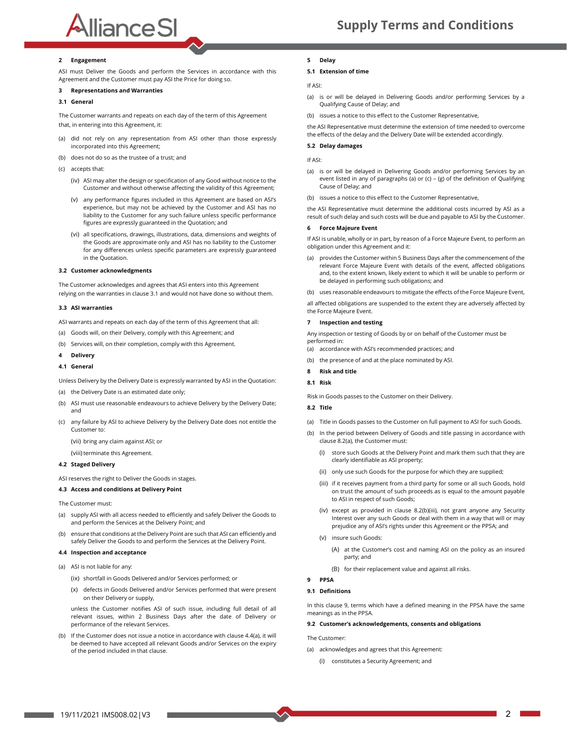# **Alliance SI**<br> **Engagement Example 2** Engagement

ASI must Deliver the Goods and perform the Services in accordance with this Agreement and the Customer must pay ASI the Price for doing so.<br>If ASI:

### 3 Representations and Warranties

#### 3.1 General

The Customer warrants and repeats on each day of the term of this Agreement that, in entering into this Agreement, it:

- (a) did not rely on any representation from ASI other than those expressly incorporated into this Agreement;
- (b) does not do so as the trustee of a trust; and
- (c) accepts that:
	- (iv) ASI may alter the design or specification of any Good without notice to the Customer and without otherwise affecting the validity of this Agreement;
	- any performance figures included in this Agreement are based on ASI's experience, but may not be achieved by the Customer and ASI has no liability to the Customer for any such failure unless specific performance figures are expressly guaranteed in the Quotation; and
	- (vi) all specifications, drawings, illustrations, data, dimensions and weights of the Goods are approximate only and ASI has no liability to the Customer for any differences unless specific parameters are expressly guaranteed in the Quotation.

#### 3.2 Customer acknowledgments

The Customer acknowledges and agrees that ASI enters into this Agreement relying on the warranties in clause 3.1 and would not have done so without them.

#### 3.3 ASI warranties

ASI warrants and repeats on each day of the term of this Agreement that all:

- (a) Goods will, on their Delivery, comply with this Agreement; and
- (b) Services will, on their completion, comply with this Agreement.

# 4 Delivery *Accord Communisty Communisty Delivery*<br>4.1 General

Unless Delivery by the Delivery Date is expressly warranted by ASI in the Quotation: 8.1 Risk

- (a) the Delivery Date is an estimated date only;
- (b) ASI must use reasonable endeavours to achieve Delivery by the Delivery Date; and
- (c) any failure by ASI to achieve Delivery by the Delivery Date does not entitle the Customer to:

(vii) bring any claim against ASI; or

(viii) terminate this Agreement.

#### 4.2 Staged Delivery

ASI reserves the right to Deliver the Goods in stages.

#### 4.3 Access and conditions at Delivery Point

- The Customer must:
- (a) supply ASI with all access needed to efficiently and safely Deliver the Goods to and perform the Services at the Delivery Point; and
- (b) ensure that conditions at the Delivery Point are such that ASI can efficiently and safely Deliver the Goods to and perform the Services at the Delivery Point.

#### 4.4 Inspection and acceptance

- (a) ASI is not liable for any:
	- (ix) shortfall in Goods Delivered and/or Services performed; or
	- (x) defects in Goods Delivered and/or Services performed that were present on their Delivery or supply,

unless the Customer notifies ASI of such issue, including full detail of all relevant issues, within 2 Business Days after the date of Delivery or performance of the relevant Services.

(b) If the Customer does not issue a notice in accordance with clause 4.4(a), it will be deemed to have accepted all relevant Goods and/or Services on the expiry of the period included in that clause.

#### 5.1 Extension of time

If ASI:

- (a) is or will be delayed in Delivering Goods and/or performing Services by a Qualifying Cause of Delay; and
- (b) issues a notice to this effect to the Customer Representative,

the ASI Representative must determine the extension of time needed to overcome the effects of the delay and the Delivery Date will be extended accordingly.

#### 5.2 Delay damages

#### If ASI:

- (a) is or will be delayed in Delivering Goods and/or performing Services by an event listed in any of paragraphs (a) or (c) – (g) of the definition of Qualifying Cause of Delay; and
- (b) issues a notice to this effect to the Customer Representative,

the ASI Representative must determine the additional costs incurred by ASI as a result of such delay and such costs will be due and payable to ASI by the Customer.

#### 6 Force Majeure Event

If ASI is unable, wholly or in part, by reason of a Force Majeure Event, to perform an obligation under this Agreement and it:

- (a) provides the Customer within 5 Business Days after the commencement of the relevant Force Majeure Event with details of the event, affected obligations and, to the extent known, likely extent to which it will be unable to perform or be delayed in performing such obligations; and
- (b) uses reasonable endeavours to mitigate the effects of the Force Majeure Event,

all affected obligations are suspended to the extent they are adversely affected by the Force Majeure Event.

#### Inspection and testing

Any inspection or testing of Goods by or on behalf of the Customer must be performed in:

(a) accordance with ASI's recommended practices; and

- (b) the presence of and at the place nominated by ASI.
- 8 Risk and title

#### 8.1 Risk

Risk in Goods passes to the Customer on their Delivery.

## 8.2 Title

- (a) Title in Goods passes to the Customer on full payment to ASI for such Goods.
- (b) In the period between Delivery of Goods and title passing in accordance with clause 8.2(a), the Customer must:
	- (i) store such Goods at the Delivery Point and mark them such that they are clearly identifiable as ASI property;
	- (ii) only use such Goods for the purpose for which they are supplied;
	- (iii) if it receives payment from a third party for some or all such Goods, hold on trust the amount of such proceeds as is equal to the amount payable to ASI in respect of such Goods;
	- (iv) except as provided in clause 8.2(b)(iii), not grant anyone any Security Interest over any such Goods or deal with them in a way that will or may prejudice any of ASI's rights under this Agreement or the PPSA; and
	- (v) insure such Goods:
		- (A) at the Customer's cost and naming ASI on the policy as an insured party; and
		- (B) for their replacement value and against all risks.

#### 9 PPSA

## 9.1 Definitions

In this clause 9, terms which have a defined meaning in the PPSA have the same meanings as in the PPSA.

#### 9.2 Customer's acknowledgements, consents and obligations

The Customer:

- (a) acknowledges and agrees that this Agreement:
	- (i) constitutes a Security Agreement; and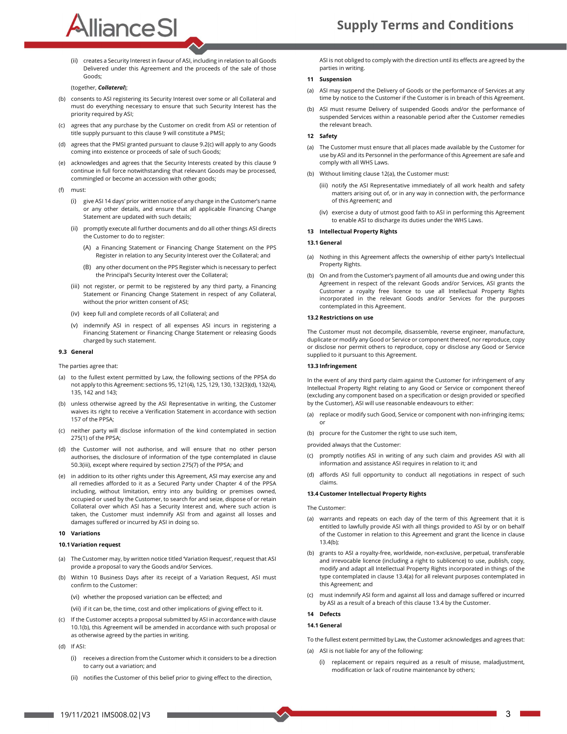# AllianceSI

(ii) creates a Security Interest in favour of ASI, including in relation to all Goods Delivered under this Agreement and the proceeds of the sale of those Goods;

#### (together, Collateral);

- (b) consents to ASI registering its Security Interest over some or all Collateral and must do everything necessary to ensure that such Security Interest has the priority required by ASI;
- (c) agrees that any purchase by the Customer on credit from ASI or retention of title supply pursuant to this clause 9 will constitute a PMSI;
- (d) agrees that the PMSI granted pursuant to clause 9.2(c) will apply to any Goods coming into existence or proceeds of sale of such Goods;
- acknowledges and agrees that the Security Interests created by this clause 9 continue in full force notwithstanding that relevant Goods may be processed, commingled or become an accession with other goods;
- 
- (f) must: (i) give ASI 14 days' prior written notice of any change in the Customer's name or any other details, and ensure that all applicable Financing Change Statement are updated with such details;
	- (ii) promptly execute all further documents and do all other things ASI directs the Customer to do to register:
		- (A) a Financing Statement or Financing Change Statement on the PPS Register in relation to any Security Interest over the Collateral; and
		- (B) any other document on the PPS Register which is necessary to perfect the Principal's Security Interest over the Collateral;
	- (iii) not register, or permit to be registered by any third party, a Financing Statement or Financing Change Statement in respect of any Collateral, without the prior written consent of ASI;
	- (iv) keep full and complete records of all Collateral; and
	- (v) indemnify ASI in respect of all expenses ASI incurs in registering a Financing Statement or Financing Change Statement or releasing Goods charged by such statement.

#### 9.3 General

- The parties agree that:
- (a) to the fullest extent permitted by Law, the following sections of the PPSA do not apply to this Agreement: sections 95, 121(4), 125, 129, 130, 132(3)(d), 132(4), 135, 142 and 143;
- (b) unless otherwise agreed by the ASI Representative in writing, the Customer waives its right to receive a Verification Statement in accordance with section 157 of the PPSA;
- (c) neither party will disclose information of the kind contemplated in section 275(1) of the PPSA;
- (d) the Customer will not authorise, and will ensure that no other person authorises, the disclosure of information of the type contemplated in clause 50.3(iii), except where required by section 275(7) of the PPSA; and
- (e) in addition to its other rights under this Agreement, ASI may exercise any and all remedies afforded to it as a Secured Party under Chapter 4 of the PPSA including, without limitation, entry into any building or premises owned, occupied or used by the Customer, to search for and seize, dispose of or retain Collateral over which ASI has a Security Interest and, where such action is taken, the Customer must indemnify ASI from and against all losses and damages suffered or incurred by ASI in doing so.

#### 10 Variations

#### 10.1 Variation request

- (a) The Customer may, by written notice titled 'Variation Request', request that ASI provide a proposal to vary the Goods and/or Services.
- (b) Within 10 Business Days after its receipt of a Variation Request, ASI must confirm to the Customer:
	- (vi) whether the proposed variation can be effected; and
	- (vii) if it can be, the time, cost and other implications of giving effect to it.<br>**14 Defects**
- (c) If the Customer accepts a proposal submitted by ASI in accordance with clause 10.1(b), this Agreement will be amended in accordance with such proposal or as otherwise agreed by the parties in writing.
- (d) If ASI:
	- (i) receives a direction from the Customer which it considers to be a direction to carry out a variation; and
	- (ii) notifies the Customer of this belief prior to giving effect to the direction,

ASI is not obliged to comply with the direction until its effects are agreed by the parties in writing.

#### 11 Suspension

- (a) ASI may suspend the Delivery of Goods or the performance of Services at any time by notice to the Customer if the Customer is in breach of this Agreement.
- (b) ASI must resume Delivery of suspended Goods and/or the performance of suspended Services within a reasonable period after the Customer remedies the relevant breach.

#### 12 Safety

- (a) The Customer must ensure that all places made available by the Customer for use by ASI and its Personnel in the performance of this Agreement are safe and comply with all WHS Laws.
- (b) Without limiting clause 12(a), the Customer must:
	- (iii) notify the ASI Representative immediately of all work health and safety matters arising out of, or in any way in connection with, the performance of this Agreement; and
	- (iv) exercise a duty of utmost good faith to ASI in performing this Agreement to enable ASI to discharge its duties under the WHS Laws.

#### 13 Intellectual Property Rights

#### 13.1 General

- (a) Nothing in this Agreement affects the ownership of either party's Intellectual Property Rights.
- (b) On and from the Customer's payment of all amounts due and owing under this Agreement in respect of the relevant Goods and/or Services, ASI grants the Customer a royalty free licence to use all Intellectual Property Rights incorporated in the relevant Goods and/or Services for the purposes contemplated in this Agreement.

#### 13.2 Restrictions on use

The Customer must not decompile, disassemble, reverse engineer, manufacture, duplicate or modify any Good or Service or component thereof, nor reproduce, copy or disclose nor permit others to reproduce, copy or disclose any Good or Service supplied to it pursuant to this Agreement.

#### 13.3 Infringement

In the event of any third party claim against the Customer for infringement of any Intellectual Property Right relating to any Good or Service or component thereof (excluding any component based on a specification or design provided or specified by the Customer), ASI will use reasonable endeavours to either:

- (a) replace or modify such Good, Service or component with non-infringing items;
- 

provided always that the Customer:

- promptly notifies ASI in writing of any such claim and provides ASI with all information and assistance ASI requires in relation to it; and
- affords ASI full opportunity to conduct all negotiations in respect of such claims.

#### 13.4 Customer Intellectual Property Rights

The Customer:

- (a) warrants and repeats on each day of the term of this Agreement that it is entitled to lawfully provide ASI with all things provided to ASI by or on behalf of the Customer in relation to this Agreement and grant the licence in clause 13.4(b);
- (b) grants to ASI a royalty-free, worldwide, non-exclusive, perpetual, transferable and irrevocable licence (including a right to sublicence) to use, publish, copy, modify and adapt all Intellectual Property Rights incorporated in things of the type contemplated in clause 13.4(a) for all relevant purposes contemplated in this Agreement; and
- (c) must indemnify ASI form and against all loss and damage suffered or incurred by ASI as a result of a breach of this clause 13.4 by the Customer.

# 14 Defects<br>14.1 General

To the fullest extent permitted by Law, the Customer acknowledges and agrees that:

- (a) ASI is not liable for any of the following:
	- replacement or repairs required as a result of misuse, maladjustment, modification or lack of routine maintenance by others;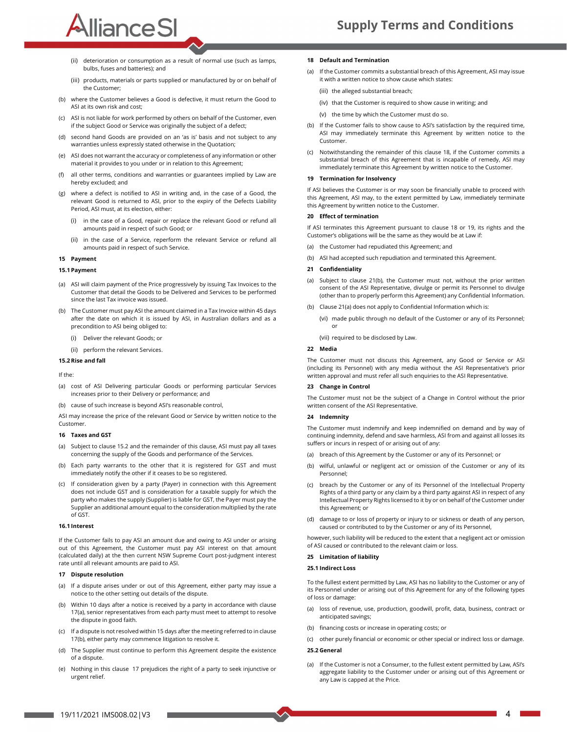(ii) deterioration or consumption as a result of normal use (such as lamps, bulbs, fuses and batteries); and

AllianceSI

- (iii) products, materials or parts supplied or manufactured by or on behalf of the Customer;
- (b) where the Customer believes a Good is defective, it must return the Good to ASI at its own risk and cost;
- (c) ASI is not liable for work performed by others on behalf of the Customer, even if the subject Good or Service was originally the subject of a defect;
- (d) second hand Goods are provided on an 'as is' basis and not subject to any warranties unless expressly stated otherwise in the Quotation;
- (e) ASI does not warrant the accuracy or completeness of any information or other material it provides to you under or in relation to this Agreement;
- (f) all other terms, conditions and warranties or guarantees implied by Law are hereby excluded; and
- (g) where a defect is notified to ASI in writing and, in the case of a Good, the relevant Good is returned to ASI, prior to the expiry of the Defects Liability Period, ASI must, at its election, either:
	- (i) in the case of a Good, repair or replace the relevant Good or refund all amounts paid in respect of such Good; or
	- in the case of a Service, reperform the relevant Service or refund all amounts paid in respect of such Service.

# 15 Payment<br>15.1 Payment

- (a) ASI will claim payment of the Price progressively by issuing Tax Invoices to the Customer that detail the Goods to be Delivered and Services to be performed since the last Tax invoice was issued.
- (b) The Customer must pay ASI the amount claimed in a Tax Invoice within 45 days after the date on which it is issued by ASI, in Australian dollars and as a precondition to ASI being obliged to:
	- (i) Deliver the relevant Goods; or
	- (ii) perform the relevant Services.

#### 15.2 Rise and fall

#### If the:

- (a) cost of ASI Delivering particular Goods or performing particular Services increases prior to their Delivery or performance; and
- (b) cause of such increase is beyond ASI's reasonable control,

ASI may increase the price of the relevant Good or Service by written notice to the Customer.

#### 16 Taxes and GST

- (a) Subject to clause 15.2 and the remainder of this clause, ASI must pay all taxes concerning the supply of the Goods and performance of the Services.
- (b) Each party warrants to the other that it is registered for GST and must immediately notify the other if it ceases to be so registered.
- (c) If consideration given by a party (Payer) in connection with this Agreement does not include GST and is consideration for a taxable supply for which the party who makes the supply (Supplier) is liable for GST, the Payer must pay the Supplier an additional amount equal to the consideration multiplied by the rate of GST.

#### 16.1 Interest

If the Customer fails to pay ASI an amount due and owing to ASI under or arising out of this Agreement, the Customer must pay ASI interest on that amount (calculated daily) at the then current NSW Supreme Court post-judgment interest rate until all relevant amounts are paid to ASI.

#### 17 Dispute resolution

- (a) If a dispute arises under or out of this Agreement, either party may issue a notice to the other setting out details of the dispute.
- (b) Within 10 days after a notice is received by a party in accordance with clause 17(a), senior representatives from each party must meet to attempt to resolve the dispute in good faith.
- (c) If a dispute is not resolved within 15 days after the meeting referred to in clause 17(b), either party may commence litigation to resolve it.
- (d) The Supplier must continue to perform this Agreement despite the existence of a dispute.
- (e) Nothing in this clause 17 prejudices the right of a party to seek injunctive or urgent relief.

#### 18 Default and Termination

- (a) If the Customer commits a substantial breach of this Agreement, ASI may issue it with a written notice to show cause which states:
	- (iii) the alleged substantial breach;
	- (iv) that the Customer is required to show cause in writing; and
	- (v) the time by which the Customer must do so.
- (b) If the Customer fails to show cause to ASI's satisfaction by the required time, ASI may immediately terminate this Agreement by written notice to the Customer.
- Notwithstanding the remainder of this clause 18, if the Customer commits a substantial breach of this Agreement that is incapable of remedy, ASI may immediately terminate this Agreement by written notice to the Customer.

#### 19 Termination for Insolvency

If ASI believes the Customer is or may soon be financially unable to proceed with this Agreement, ASI may, to the extent permitted by Law, immediately terminate this Agreement by written notice to the Customer.

#### 20 Effect of termination

If ASI terminates this Agreement pursuant to clause 18 or 19, its rights and the Customer's obligations will be the same as they would be at Law if:

- (a) the Customer had repudiated this Agreement; and
- (b) ASI had accepted such repudiation and terminated this Agreement.

#### 21 Confidentiality

- Subject to clause 21(b), the Customer must not, without the prior written consent of the ASI Representative, divulge or permit its Personnel to divulge (other than to properly perform this Agreement) any Confidential Information.
- (b) Clause 21(a) does not apply to Confidential Information which is:
	- (vi) made public through no default of the Customer or any of its Personnel;<br>or<br>(vii) required to be disclosed by Law.
	-

#### 22 Media

The Customer must not discuss this Agreement, any Good or Service or ASI (including its Personnel) with any media without the ASI Representative's prior written approval and must refer all such enquiries to the ASI Representative.

#### 23 Change in Control

The Customer must not be the subject of a Change in Control without the prior written consent of the ASI Representative.

#### 24 Indemnity

The Customer must indemnify and keep indemnified on demand and by way of continuing indemnity, defend and save harmless, ASI from and against all losses its suffers or incurs in respect of or arising out of any:

- breach of this Agreement by the Customer or any of its Personnel; or
- (b) wilful, unlawful or negligent act or omission of the Customer or any of its Personnel;
- breach by the Customer or any of its Personnel of the Intellectual Property Rights of a third party or any claim by a third party against ASI in respect of any Intellectual Property Rights licensed to it by or on behalf of the Customer under this Agreement; or
- (d) damage to or loss of property or injury to or sickness or death of any person, caused or contributed to by the Customer or any of its Personnel,

however, such liability will be reduced to the extent that a negligent act or omission of ASI caused or contributed to the relevant claim or loss.

#### 25 Limitation of liability

#### 25.1 Indirect Loss

To the fullest extent permitted by Law, ASI has no liability to the Customer or any of its Personnel under or arising out of this Agreement for any of the following types of loss or damage:

- (a) loss of revenue, use, production, goodwill, profit, data, business, contract or anticipated savings;
- financing costs or increase in operating costs; or
- (c) other purely financial or economic or other special or indirect loss or damage. 25.2 General

If the Customer is not a Consumer, to the fullest extent permitted by Law, ASI's aggregate liability to the Customer under or arising out of this Agreement or any Law is capped at the Price.